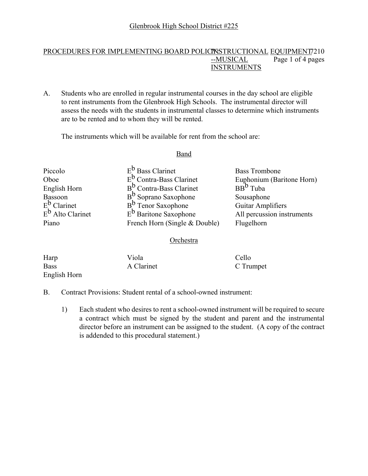#### PROCEDURES FOR IMPLEMENTING BOARD POLICINSTRUCTIONAL EQUIPMENT 7210 --MUSICAL Page 1 of 4 pages INSTRUMENTS

A. Students who are enrolled in regular instrumental courses in the day school are eligible to rent instruments from the Glenbrook High Schools. The instrumental director will assess the needs with the students in instrumental classes to determine which instruments are to be rented and to whom they will be rented.

The instruments which will be available for rent from the school are:

#### Band

Piccolo E<sup>b</sup> Bass Clarinet Bass Trombone Oboe  $E^b$  Contra-Bass Clarinet Euphonium (Baritone Horn)<br>English Horn B<sup>b</sup> Contra-Bass Clarinet BB<sup>b</sup> Tuba English Horn  $B^b$  Contra-Bass Clarinet Bassoon B<sup>b</sup> Soprano Saxophone Sousaphone<br>
E<sup>b</sup> Clarinet B<sup>b</sup> Tenor Saxophone Guitar Ampl  $E^b$  Clarinet  $E^b$  Tenor Saxophone Guitar Amplifiers<br>  $E^b$  Alto Clarinet  $E^b$  Baritone Saxophone All percussion ins  $E^b$  Baritone Saxophone All percussion instruments Piano French Horn (Single & Double) Flugelhorn

#### Orchestra

| Harp         | Viola      | Cello     |
|--------------|------------|-----------|
| <b>Bass</b>  | A Clarinet | C Trumpet |
| English Horn |            |           |

- B. Contract Provisions: Student rental of a school-owned instrument:
	- 1) Each student who desires to rent a school-owned instrument will be required to secure a contract which must be signed by the student and parent and the instrumental director before an instrument can be assigned to the student. (A copy of the contract is addended to this procedural statement.)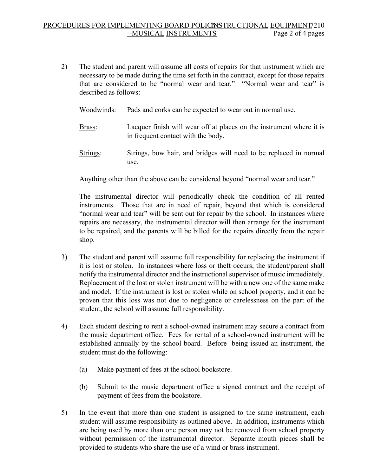### PROCEDURES FOR IMPLEMENTING BOARD POLICINSTRUCTIONAL EQUIPMENT 7210<br>MUSICAL INSTRUMENTS Page 2 of 4 pages— --MUSICAL INSTRUMENTS

- 2) The student and parent will assume all costs of repairs for that instrument which are necessary to be made during the time set forth in the contract, except for those repairs that are considered to be "normal wear and tear." "Normal wear and tear" is described as follows:
	- Woodwinds: Pads and corks can be expected to wear out in normal use.
	- Brass: Lacquer finish will wear off at places on the instrument where it is in frequent contact with the body.
	- Strings: Strings, bow hair, and bridges will need to be replaced in normal use.

Anything other than the above can be considered beyond "normal wear and tear."

The instrumental director will periodically check the condition of all rented instruments. Those that are in need of repair, beyond that which is considered "normal wear and tear" will be sent out for repair by the school. In instances where repairs are necessary, the instrumental director will then arrange for the instrument to be repaired, and the parents will be billed for the repairs directly from the repair shop.

- 3) The student and parent will assume full responsibility for replacing the instrument if it is lost or stolen. In instances where loss or theft occurs, the student/parent shall notify the instrumental director and the instructional supervisor of music immediately. Replacement of the lost or stolen instrument will be with a new one of the same make and model. If the instrument is lost or stolen while on school property, and it can be proven that this loss was not due to negligence or carelessness on the part of the student, the school will assume full responsibility.
- 4) Each student desiring to rent a school-owned instrument may secure a contract from the music department office. Fees for rental of a school-owned instrument will be established annually by the school board. Before being issued an instrument, the student must do the following:
	- (a) Make payment of fees at the school bookstore.
	- (b) Submit to the music department office a signed contract and the receipt of payment of fees from the bookstore.
- 5) In the event that more than one student is assigned to the same instrument, each student will assume responsibility as outlined above. In addition, instruments which are being used by more than one person may not be removed from school property without permission of the instrumental director. Separate mouth pieces shall be provided to students who share the use of a wind or brass instrument.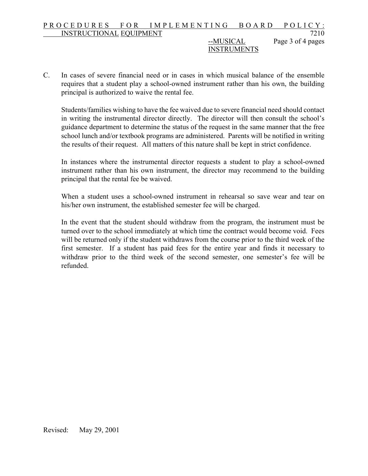#### PROCEDURES FOR IMPLEMENTING BOARD POLICY: INSTRUCTIONAL EQUIPMENT 7210 --MUSICAL Page 3 of 4 pages

# INSTRUMENTS

C. In cases of severe financial need or in cases in which musical balance of the ensemble requires that a student play a school-owned instrument rather than his own, the building principal is authorized to waive the rental fee.

Students/families wishing to have the fee waived due to severe financial need should contact in writing the instrumental director directly. The director will then consult the school's guidance department to determine the status of the request in the same manner that the free school lunch and/or textbook programs are administered. Parents will be notified in writing the results of their request. All matters of this nature shall be kept in strict confidence.

In instances where the instrumental director requests a student to play a school-owned instrument rather than his own instrument, the director may recommend to the building principal that the rental fee be waived.

When a student uses a school-owned instrument in rehearsal so save wear and tear on his/her own instrument, the established semester fee will be charged.

In the event that the student should withdraw from the program, the instrument must be turned over to the school immediately at which time the contract would become void. Fees will be returned only if the student withdraws from the course prior to the third week of the first semester. If a student has paid fees for the entire year and finds it necessary to withdraw prior to the third week of the second semester, one semester's fee will be refunded.